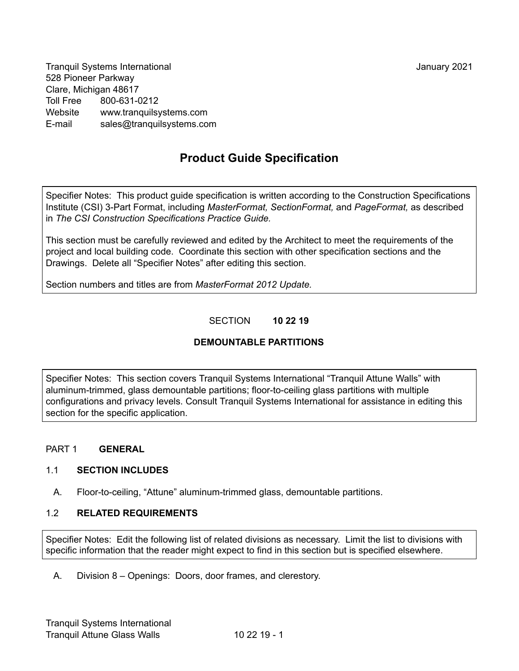Tranquil Systems International January 2021 528 Pioneer Parkway Clare, Michigan 48617 Toll Free 800-631-0212 Website [www.tranquilsystems.com](http://www.tranquilsystems.com/) E-mail sales@tranquilsystems.com

# **Product Guide Specification**

Specifier Notes: This product guide specification is written according to the Construction Specifications Institute (CSI) 3-Part Format, including *MasterFormat, SectionFormat,* and *PageFormat,* as described in *The CSI Construction Specifications Practice Guide.*

This section must be carefully reviewed and edited by the Architect to meet the requirements of the project and local building code. Coordinate this section with other specification sections and the Drawings. Delete all "Specifier Notes" after editing this section.

Section numbers and titles are from *MasterFormat 2012 Update.*

# SECTION **10 22 19**

# **DEMOUNTABLE PARTITIONS**

Specifier Notes: This section covers Tranquil Systems International "Tranquil Attune Walls" with aluminum-trimmed, glass demountable partitions; floor-to-ceiling glass partitions with multiple configurations and privacy levels. Consult Tranquil Systems International for assistance in editing this section for the specific application.

## PART 1 **GENERAL**

## 1.1 **SECTION INCLUDES**

A. Floor-to-ceiling, "Attune" aluminum-trimmed glass, demountable partitions.

## 1.2 **RELATED REQUIREMENTS**

Specifier Notes: Edit the following list of related divisions as necessary. Limit the list to divisions with specific information that the reader might expect to find in this section but is specified elsewhere.

A. Division 8 – Openings: Doors, door frames, and clerestory.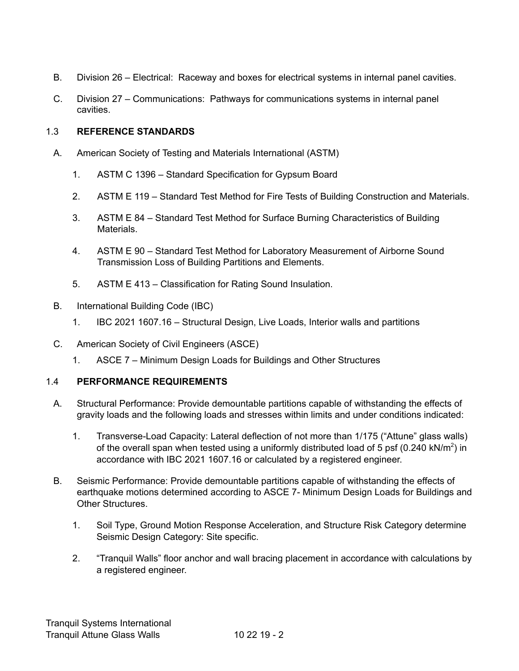- B. Division 26 Electrical: Raceway and boxes for electrical systems in internal panel cavities.
- C. Division 27 Communications: Pathways for communications systems in internal panel cavities.

## 1.3 **REFERENCE STANDARDS**

- A. American Society of Testing and Materials International (ASTM)
	- 1. ASTM C 1396 Standard Specification for Gypsum Board
	- 2. ASTM E 119 Standard Test Method for Fire Tests of Building Construction and Materials.
	- 3. ASTM E 84 Standard Test Method for Surface Burning Characteristics of Building Materials.
	- 4. ASTM E 90 Standard Test Method for Laboratory Measurement of Airborne Sound Transmission Loss of Building Partitions and Elements.
	- 5. ASTM E 413 Classification for Rating Sound Insulation.
- B. International Building Code (IBC)
	- 1. IBC 2021 1607.16 Structural Design, Live Loads, Interior walls and partitions
- C. American Society of Civil Engineers (ASCE)
	- 1. ASCE 7 Minimum Design Loads for Buildings and Other Structures

## 1.4 **PERFORMANCE REQUIREMENTS**

- A. Structural Performance: Provide demountable partitions capable of withstanding the effects of gravity loads and the following loads and stresses within limits and under conditions indicated:
	- 1. Transverse-Load Capacity: Lateral deflection of not more than 1/175 ("Attune" glass walls) of the overall span when tested using a uniformly distributed load of 5 psf (0.240 kN/m<sup>2</sup>) in accordance with IBC 2021 1607.16 or calculated by a registered engineer.
- B. Seismic Performance: Provide demountable partitions capable of withstanding the effects of earthquake motions determined according to ASCE 7- Minimum Design Loads for Buildings and Other Structures.
	- 1. Soil Type, Ground Motion Response Acceleration, and Structure Risk Category determine Seismic Design Category: Site specific.
	- 2. "Tranquil Walls" floor anchor and wall bracing placement in accordance with calculations by a registered engineer.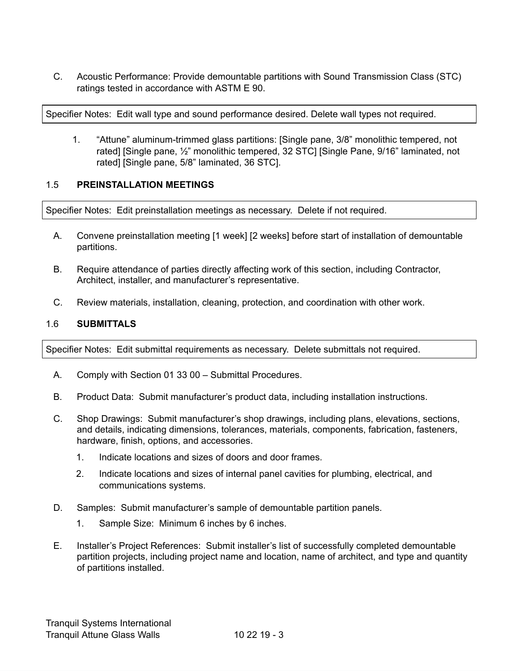C. Acoustic Performance: Provide demountable partitions with Sound Transmission Class (STC) ratings tested in accordance with ASTM E 90.

Specifier Notes: Edit wall type and sound performance desired. Delete wall types not required.

1. "Attune" aluminum-trimmed glass partitions: [Single pane, 3/8" monolithic tempered, not rated] [Single pane, ½" monolithic tempered, 32 STC] [Single Pane, 9/16" laminated, not rated] [Single pane, 5/8" laminated, 36 STC].

#### 1.5 **PREINSTALLATION MEETINGS**

Specifier Notes: Edit preinstallation meetings as necessary. Delete if not required.

- A. Convene preinstallation meeting [1 week] [2 weeks] before start of installation of demountable partitions.
- B. Require attendance of parties directly affecting work of this section, including Contractor, Architect, installer, and manufacturer's representative.
- C. Review materials, installation, cleaning, protection, and coordination with other work.

#### 1.6 **SUBMITTALS**

Specifier Notes: Edit submittal requirements as necessary. Delete submittals not required.

- A. Comply with Section 01 33 00 Submittal Procedures.
- B. Product Data: Submit manufacturer's product data, including installation instructions.
- C. Shop Drawings: Submit manufacturer's shop drawings, including plans, elevations, sections, and details, indicating dimensions, tolerances, materials, components, fabrication, fasteners, hardware, finish, options, and accessories.
	- 1. Indicate locations and sizes of doors and door frames.
	- 2. Indicate locations and sizes of internal panel cavities for plumbing, electrical, and communications systems.
- D. Samples: Submit manufacturer's sample of demountable partition panels.
	- 1. Sample Size: Minimum 6 inches by 6 inches.
- E. Installer's Project References: Submit installer's list of successfully completed demountable partition projects, including project name and location, name of architect, and type and quantity of partitions installed.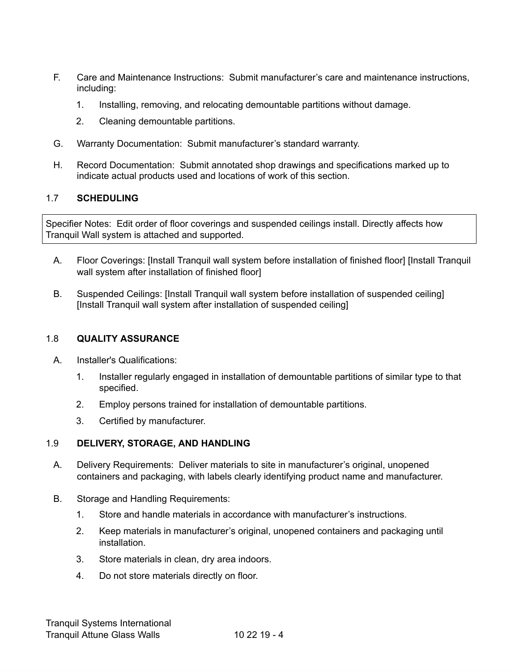- F. Care and Maintenance Instructions: Submit manufacturer's care and maintenance instructions, including:
	- 1. Installing, removing, and relocating demountable partitions without damage.
	- 2. Cleaning demountable partitions.
- G. Warranty Documentation: Submit manufacturer's standard warranty.
- H. Record Documentation: Submit annotated shop drawings and specifications marked up to indicate actual products used and locations of work of this section.

## 1.7 **SCHEDULING**

Specifier Notes: Edit order of floor coverings and suspended ceilings install. Directly affects how Tranquil Wall system is attached and supported.

- A. Floor Coverings: [Install Tranquil wall system before installation of finished floor] [Install Tranquil wall system after installation of finished floor]
- B. Suspended Ceilings: [Install Tranquil wall system before installation of suspended ceiling] [Install Tranquil wall system after installation of suspended ceiling]

## 1.8 **QUALITY ASSURANCE**

- A. Installer's Qualifications:
	- 1. Installer regularly engaged in installation of demountable partitions of similar type to that specified.
	- 2. Employ persons trained for installation of demountable partitions.
	- 3. Certified by manufacturer.

## 1.9 **DELIVERY, STORAGE, AND HANDLING**

- A. Delivery Requirements: Deliver materials to site in manufacturer's original, unopened containers and packaging, with labels clearly identifying product name and manufacturer.
- B. Storage and Handling Requirements:
	- 1. Store and handle materials in accordance with manufacturer's instructions.
	- 2. Keep materials in manufacturer's original, unopened containers and packaging until installation.
	- 3. Store materials in clean, dry area indoors.
	- 4. Do not store materials directly on floor.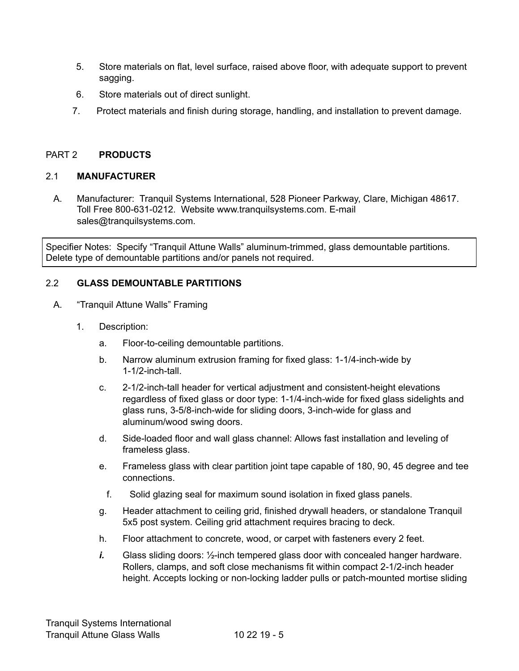- 5. Store materials on flat, level surface, raised above floor, with adequate support to prevent sagging.
- 6. Store materials out of direct sunlight.
- 7. Protect materials and finish during storage, handling, and installation to prevent damage.

## PART 2 **PRODUCTS**

## 2.1 **MANUFACTURER**

A. Manufacturer: Tranquil Systems International, 528 Pioneer Parkway, Clare, Michigan 48617. Toll Free 800-631-0212. Website [www.tranquilsystems.com](http://www.tranquilsystems.com/). E-mail sales@tranquilsystems.com.

Specifier Notes: Specify "Tranquil Attune Walls" aluminum-trimmed, glass demountable partitions. Delete type of demountable partitions and/or panels not required.

## 2.2 **GLASS DEMOUNTABLE PARTITIONS**

- A. "Tranquil Attune Walls" Framing
	- 1. Description:
		- a. Floor-to-ceiling demountable partitions.
		- b. Narrow aluminum extrusion framing for fixed glass: 1-1/4-inch-wide by 1-1/2-inch-tall.
		- c. 2-1/2-inch-tall header for vertical adjustment and consistent-height elevations regardless of fixed glass or door type: 1-1/4-inch-wide for fixed glass sidelights and glass runs, 3-5/8-inch-wide for sliding doors, 3-inch-wide for glass and aluminum/wood swing doors.
		- d. Side-loaded floor and wall glass channel: Allows fast installation and leveling of frameless glass.
		- e. Frameless glass with clear partition joint tape capable of 180, 90, 45 degree and tee connections.
			- f. Solid glazing seal for maximum sound isolation in fixed glass panels.
		- g. Header attachment to ceiling grid, finished drywall headers, or standalone Tranquil 5x5 post system. Ceiling grid attachment requires bracing to deck.
		- h. Floor attachment to concrete, wood, or carpet with fasteners every 2 feet.
		- *i.* Glass sliding doors: ½-inch tempered glass door with concealed hanger hardware. Rollers, clamps, and soft close mechanisms fit within compact 2-1/2-inch header height. Accepts locking or non-locking ladder pulls or patch-mounted mortise sliding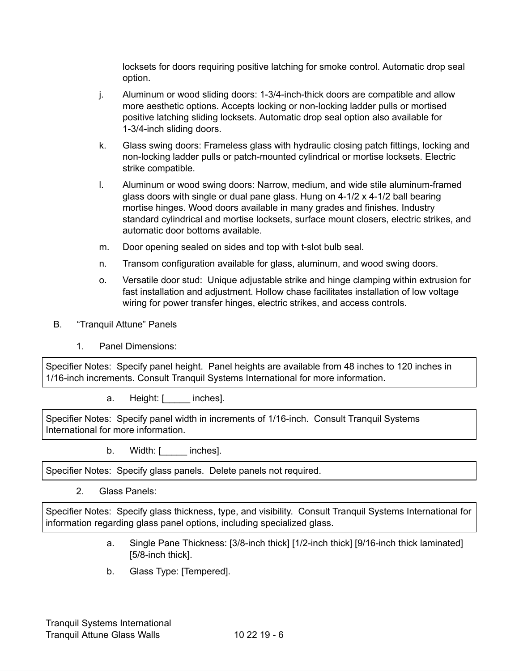locksets for doors requiring positive latching for smoke control. Automatic drop seal option.

- j. Aluminum or wood sliding doors: 1-3/4-inch-thick doors are compatible and allow more aesthetic options. Accepts locking or non-locking ladder pulls or mortised positive latching sliding locksets. Automatic drop seal option also available for 1-3/4-inch sliding doors.
- k. Glass swing doors: Frameless glass with hydraulic closing patch fittings, locking and non-locking ladder pulls or patch-mounted cylindrical or mortise locksets. Electric strike compatible.
- l. Aluminum or wood swing doors: Narrow, medium, and wide stile aluminum-framed glass doors with single or dual pane glass. Hung on 4-1/2 x 4-1/2 ball bearing mortise hinges. Wood doors available in many grades and finishes. Industry standard cylindrical and mortise locksets, surface mount closers, electric strikes, and automatic door bottoms available.
- m. Door opening sealed on sides and top with t-slot bulb seal.
- n. Transom configuration available for glass, aluminum, and wood swing doors.
- o. Versatile door stud: Unique adjustable strike and hinge clamping within extrusion for fast installation and adjustment. Hollow chase facilitates installation of low voltage wiring for power transfer hinges, electric strikes, and access controls.
- B. "Tranquil Attune" Panels
	- 1. Panel Dimensions:

Specifier Notes: Specify panel height. Panel heights are available from 48 inches to 120 inches in 1/16-inch increments. Consult Tranquil Systems International for more information.

a. Height: [ \_\_\_\_\_ inches].

Specifier Notes: Specify panel width in increments of 1/16-inch. Consult Tranquil Systems International for more information.

b. Width: [\_\_\_\_\_ inches].

Specifier Notes: Specify glass panels. Delete panels not required.

2. Glass Panels:

Specifier Notes: Specify glass thickness, type, and visibility. Consult Tranquil Systems International for information regarding glass panel options, including specialized glass.

- a. Single Pane Thickness: [3/8-inch thick] [1/2-inch thick] [9/16-inch thick laminated] [5/8-inch thick].
- b. Glass Type: [Tempered].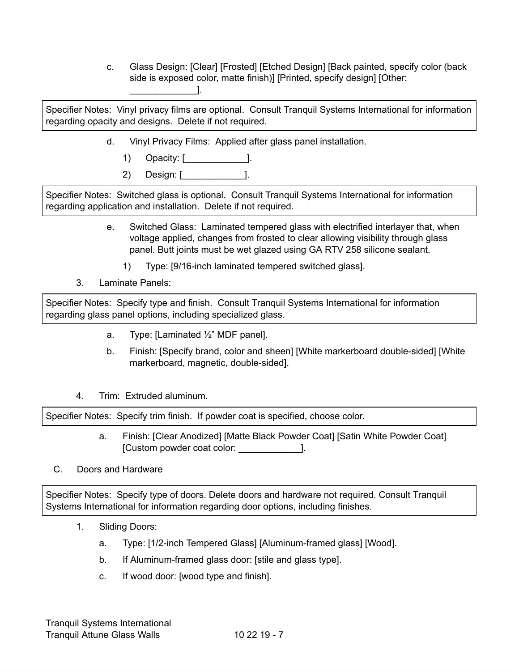c. Glass Design: [Clear] [Frosted] [Etched Design] [Back painted, specify color (back side is exposed color, matte finish)] [Printed, specify design] [Other:  $\blacksquare$ 

Specifier Notes: Vinyl privacy films are optional. Consult Tranquil Systems International for information regarding opacity and designs. Delete if not required.

- d. Vinyl Privacy Films: Applied after glass panel installation.
	- 1) Opacity: [\_\_\_\_\_\_\_\_\_\_\_\_].
	- 2) Design: [\_\_\_\_\_\_\_\_\_\_\_\_].

Specifier Notes: Switched glass is optional. Consult Tranquil Systems International for information regarding application and installation. Delete if not required.

- e. Switched Glass: Laminated tempered glass with electrified interlayer that, when voltage applied, changes from frosted to clear allowing visibility through glass panel. Butt joints must be wet glazed using GA RTV 258 silicone sealant.
	- 1) Type: [9/16-inch laminated tempered switched glass].
- 3. Laminate Panels:

Specifier Notes: Specify type and finish. Consult Tranquil Systems International for information regarding glass panel options, including specialized glass.

- a. Type: [Laminated ½" MDF panel].
- b. Finish: [Specify brand, color and sheen] [White markerboard double-sided] [White markerboard, magnetic, double-sided].
- 4. Trim: Extruded aluminum.

Specifier Notes: Specify trim finish. If powder coat is specified, choose color.

a. Finish: [Clear Anodized] [Matte Black Powder Coat] [Satin White Powder Coat] [Custom powder coat color: \_\_\_\_\_\_\_\_\_\_\_\_].

# C. Doors and Hardware

Specifier Notes: Specify type of doors. Delete doors and hardware not required. Consult Tranquil Systems International for information regarding door options, including finishes.

- 1. Sliding Doors:
	- a. Type: [1/2-inch Tempered Glass] [Aluminum-framed glass] [Wood].
	- b. If Aluminum-framed glass door: [stile and glass type].
	- c. If wood door: [wood type and finish].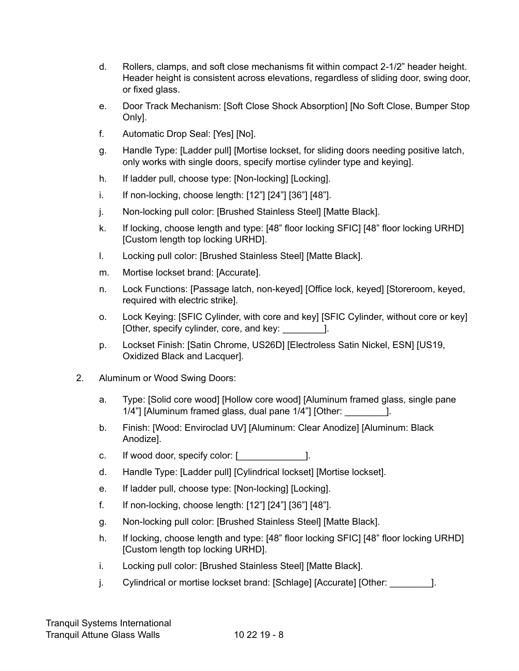- d. Rollers, clamps, and soft close mechanisms fit within compact 2-1/2" header height. Header height is consistent across elevations, regardless of sliding door, swing door, or fixed glass.
- e. Door Track Mechanism: [Soft Close Shock Absorption] [No Soft Close, Bumper Stop Only].
- f. Automatic Drop Seal: [Yes] [No].
- g. Handle Type: [Ladder pull] [Mortise lockset, for sliding doors needing positive latch, only works with single doors, specify mortise cylinder type and keying].
- h. If ladder pull, choose type: [Non-locking] [Locking].
- i. If non-locking, choose length: [12"] [24"] [36"] [48"].
- j. Non-locking pull color: [Brushed Stainless Steel] [Matte Black].
- k. If locking, choose length and type: [48" floor locking SFIC] [48" floor locking URHD] [Custom length top locking URHD].
- l. Locking pull color: [Brushed Stainless Steel] [Matte Black].
- m. Mortise lockset brand: [Accurate].
- n. Lock Functions: [Passage latch, non-keyed] [Office lock, keyed] [Storeroom, keyed, required with electric strike].
- o. Lock Keying: [SFIC Cylinder, with core and key] [SFIC Cylinder, without core or key] [Other, specify cylinder, core, and key: [1].
- p. Lockset Finish: [Satin Chrome, US26D] [Electroless Satin Nickel, ESN] [US19, Oxidized Black and Lacquer].
- 2. Aluminum or Wood Swing Doors:
	- a. Type: [Solid core wood] [Hollow core wood] [Aluminum framed glass, single pane 1/4"] [Aluminum framed glass, dual pane 1/4"] [Other:  $\qquad \qquad$  ].
	- b. Finish: [Wood: Enviroclad UV] [Aluminum: Clear Anodize] [Aluminum: Black Anodize].
	- c. If wood door, specify color: [\_\_\_\_\_\_\_\_\_\_\_\_\_].
	- d. Handle Type: [Ladder pull] [Cylindrical lockset] [Mortise lockset].
	- e. If ladder pull, choose type: [Non-locking] [Locking].
	- f. If non-locking, choose length: [12"] [24"] [36"] [48"].
	- g. Non-locking pull color: [Brushed Stainless Steel] [Matte Black].
	- h. If locking, choose length and type: [48" floor locking SFIC] [48" floor locking URHD] [Custom length top locking URHD].
	- i. Locking pull color: [Brushed Stainless Steel] [Matte Black].
	- j. Cylindrical or mortise lockset brand: [Schlage] [Accurate] [Other:  $\qquad$  ].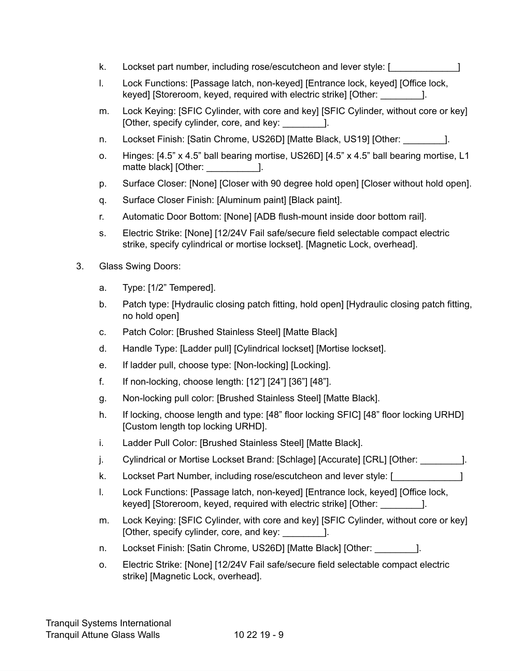- k. Lockset part number, including rose/escutcheon and lever style: [ \_\_\_\_\_\_\_\_\_\_\_
- l. Lock Functions: [Passage latch, non-keyed] [Entrance lock, keyed] [Office lock, keyed] [Storeroom, keyed, required with electric strike] [Other: \_\_\_\_\_\_\_\_].
- m. Lock Keying: [SFIC Cylinder, with core and key] [SFIC Cylinder, without core or key] [Other, specify cylinder, core, and key: \_\_\_\_\_\_\_\_].
- n. Lockset Finish: [Satin Chrome, US26D] [Matte Black, US19] [Other:  $\qquad \qquad$  ].
- o. Hinges: [4.5" x 4.5" ball bearing mortise, US26D] [4.5" x 4.5" ball bearing mortise, L1 matte black] [Other: [1]
- p. Surface Closer: [None] [Closer with 90 degree hold open] [Closer without hold open].
- q. Surface Closer Finish: [Aluminum paint] [Black paint].
- r. Automatic Door Bottom: [None] [ADB flush-mount inside door bottom rail].
- s. Electric Strike: [None] [12/24V Fail safe/secure field selectable compact electric strike, specify cylindrical or mortise lockset]. [Magnetic Lock, overhead].
- 3. Glass Swing Doors:
	- a. Type: [1/2" Tempered].
	- b. Patch type: [Hydraulic closing patch fitting, hold open] [Hydraulic closing patch fitting, no hold open]
	- c. Patch Color: [Brushed Stainless Steel] [Matte Black]
	- d. Handle Type: [Ladder pull] [Cylindrical lockset] [Mortise lockset].
	- e. If ladder pull, choose type: [Non-locking] [Locking].
	- f. If non-locking, choose length: [12"] [24"] [36"] [48"].
	- g. Non-locking pull color: [Brushed Stainless Steel] [Matte Black].
	- h. If locking, choose length and type: [48" floor locking SFIC] [48" floor locking URHD] [Custom length top locking URHD].
	- i. Ladder Pull Color: [Brushed Stainless Steel] [Matte Black].
	- j. Cylindrical or Mortise Lockset Brand: [Schlage] [Accurate] [CRL] [Other:  $\qquad$ ].
	- k. Lockset Part Number, including rose/escutcheon and lever style: [
	- l. Lock Functions: [Passage latch, non-keyed] [Entrance lock, keyed] [Office lock, keyed] [Storeroom, keyed, required with electric strike] [Other: \_\_\_\_\_\_\_\_].
	- m. Lock Keying: [SFIC Cylinder, with core and key] [SFIC Cylinder, without core or key] [Other, specify cylinder, core, and key: \_\_\_\_\_\_\_\_].
	- n. Lockset Finish: [Satin Chrome, US26D] [Matte Black] [Other:  $\qquad$  ].
	- o. Electric Strike: [None] [12/24V Fail safe/secure field selectable compact electric strike] [Magnetic Lock, overhead].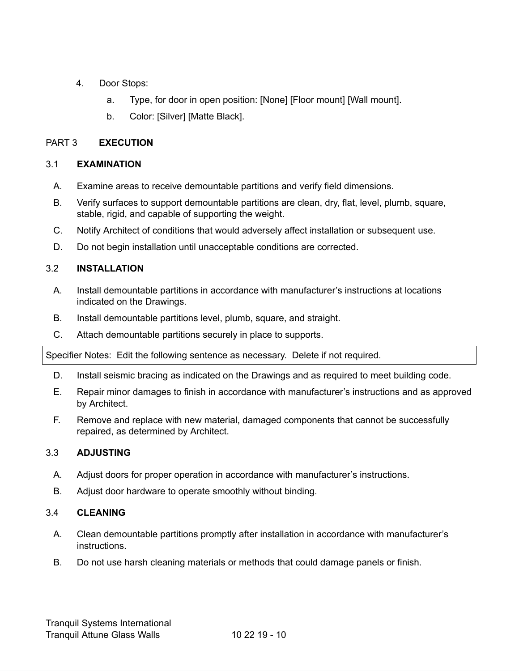- 4. Door Stops:
	- a. Type, for door in open position: [None] [Floor mount] [Wall mount].
	- b. Color: [Silver] [Matte Black].

# PART 3 **EXECUTION**

## 3.1 **EXAMINATION**

- A. Examine areas to receive demountable partitions and verify field dimensions.
- B. Verify surfaces to support demountable partitions are clean, dry, flat, level, plumb, square, stable, rigid, and capable of supporting the weight.
- C. Notify Architect of conditions that would adversely affect installation or subsequent use.
- D. Do not begin installation until unacceptable conditions are corrected.

# 3.2 **INSTALLATION**

- A. Install demountable partitions in accordance with manufacturer's instructions at locations indicated on the Drawings.
- B. Install demountable partitions level, plumb, square, and straight.
- C. Attach demountable partitions securely in place to supports.

Specifier Notes: Edit the following sentence as necessary. Delete if not required.

- D. Install seismic bracing as indicated on the Drawings and as required to meet building code.
- E. Repair minor damages to finish in accordance with manufacturer's instructions and as approved by Architect.
- F. Remove and replace with new material, damaged components that cannot be successfully repaired, as determined by Architect.

# 3.3 **ADJUSTING**

- A. Adjust doors for proper operation in accordance with manufacturer's instructions.
- B. Adjust door hardware to operate smoothly without binding.

# 3.4 **CLEANING**

- A. Clean demountable partitions promptly after installation in accordance with manufacturer's instructions.
- B. Do not use harsh cleaning materials or methods that could damage panels or finish.